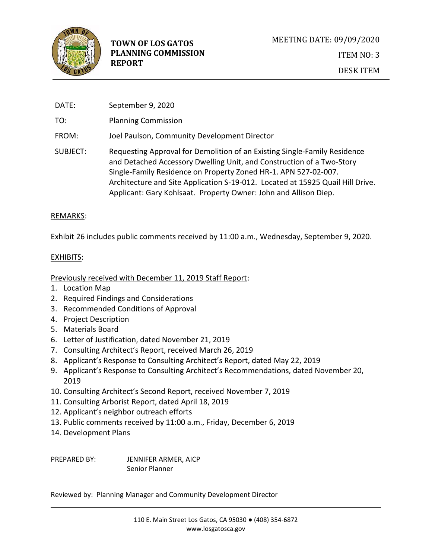

DATE: September 9, 2020

TO: Planning Commission

- FROM: Joel Paulson, Community Development Director
- SUBJECT: Requesting Approval for Demolition of an Existing Single-Family Residence and Detached Accessory Dwelling Unit, and Construction of a Two-Story Single-Family Residence on Property Zoned HR-1. APN 527-02-007. Architecture and Site Application S-19-012. Located at 15925 Quail Hill Drive. Applicant: Gary Kohlsaat. Property Owner: John and Allison Diep.

## REMARKS:

Exhibit 26 includes public comments received by 11:00 a.m., Wednesday, September 9, 2020.

## EXHIBITS:

Previously received with December 11, 2019 Staff Report:

- 1. Location Map
- 2. Required Findings and Considerations
- 3. Recommended Conditions of Approval
- 4. Project Description
- 5. Materials Board
- 6. Letter of Justification, dated November 21, 2019
- 7. Consulting Architect's Report, received March 26, 2019
- 8. Applicant's Response to Consulting Architect's Report, dated May 22, 2019
- 9. Applicant's Response to Consulting Architect's Recommendations, dated November 20, 2019
- 10. Consulting Architect's Second Report, received November 7, 2019
- 11. Consulting Arborist Report, dated April 18, 2019
- 12. Applicant's neighbor outreach efforts
- 13. Public comments received by 11:00 a.m., Friday, December 6, 2019
- 14. Development Plans

PREPARED BY: JENNIFER ARMER, AICP Senior Planner

Reviewed by: Planning Manager and Community Development Director